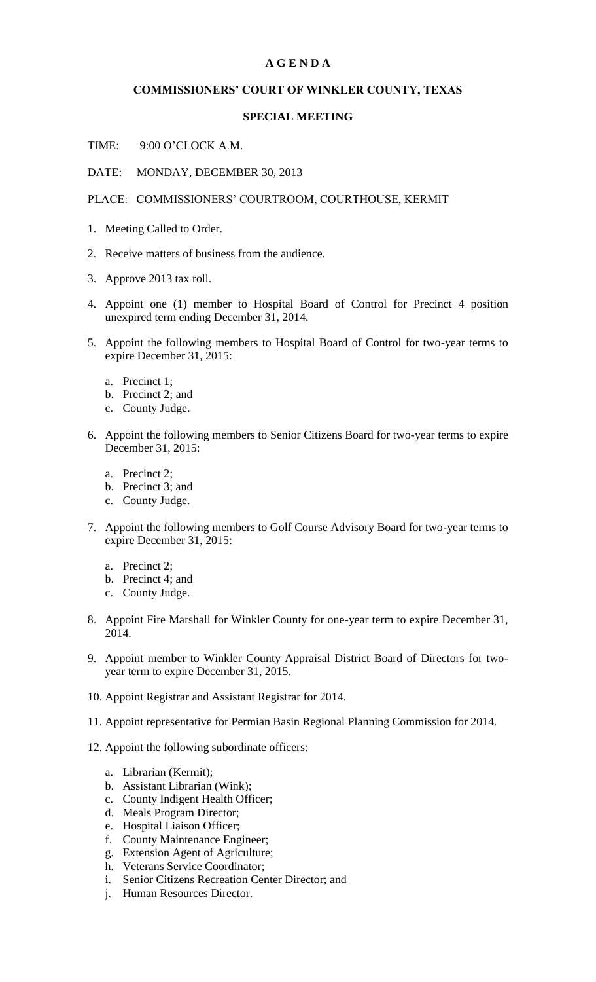## **A G E N D A**

## **COMMISSIONERS' COURT OF WINKLER COUNTY, TEXAS**

## **SPECIAL MEETING**

TIME: 9:00 O'CLOCK A.M.

DATE: MONDAY, DECEMBER 30, 2013

PLACE: COMMISSIONERS' COURTROOM, COURTHOUSE, KERMIT

- 1. Meeting Called to Order.
- 2. Receive matters of business from the audience.
- 3. Approve 2013 tax roll.
- 4. Appoint one (1) member to Hospital Board of Control for Precinct 4 position unexpired term ending December 31, 2014.
- 5. Appoint the following members to Hospital Board of Control for two-year terms to expire December 31, 2015:
	- a. Precinct 1;
	- b. Precinct 2; and
	- c. County Judge.
- 6. Appoint the following members to Senior Citizens Board for two-year terms to expire December 31, 2015:
	- a. Precinct 2;
	- b. Precinct 3; and
	- c. County Judge.
- 7. Appoint the following members to Golf Course Advisory Board for two-year terms to expire December 31, 2015:
	- a. Precinct 2;
	- b. Precinct 4; and
	- c. County Judge.
- 8. Appoint Fire Marshall for Winkler County for one-year term to expire December 31, 2014.
- 9. Appoint member to Winkler County Appraisal District Board of Directors for twoyear term to expire December 31, 2015.
- 10. Appoint Registrar and Assistant Registrar for 2014.
- 11. Appoint representative for Permian Basin Regional Planning Commission for 2014.
- 12. Appoint the following subordinate officers:
	- a. Librarian (Kermit);
	- b. Assistant Librarian (Wink);
	- c. County Indigent Health Officer;
	- d. Meals Program Director;
	- e. Hospital Liaison Officer;
	- f. County Maintenance Engineer;
	- g. Extension Agent of Agriculture;
	- h. Veterans Service Coordinator;
	- i. Senior Citizens Recreation Center Director; and
	- j. Human Resources Director.